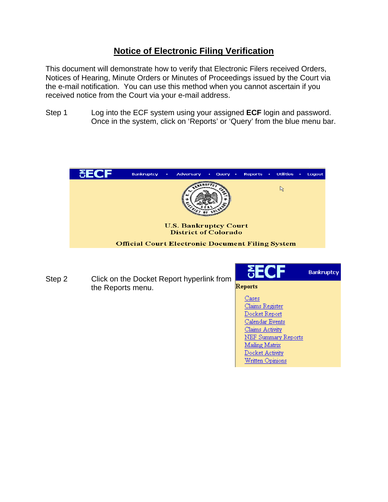## **Notice of Electronic Filing Verification**

This document will demonstrate how to verify that Electronic Filers received Orders, Notices of Hearing, Minute Orders or Minutes of Proceedings issued by the Court via the e-mail notification. You can use this method when you cannot ascertain if you received notice from the Court via your e-mail address.

Step 1 Log into the ECF system using your assigned **ECF** login and password. Once in the system, click on 'Reports' or 'Query' from the blue menu bar.



**Bankruptcy** Step 2 Click on the Docket Report hyperlink from Reports the Reports menu. Cases Claims Register Docket Report Calendar Events Claims Activity NEF Summary Reports Mailing Matrix

> Docket Activity Written Opinions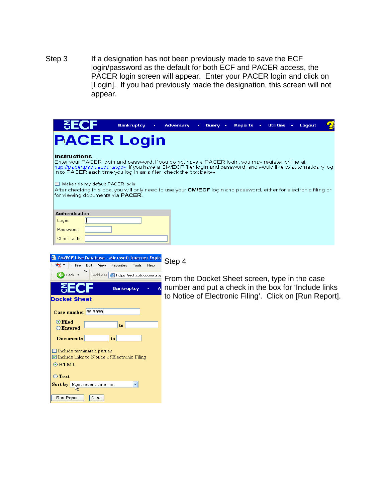Step 3 If a designation has not been previously made to save the ECF login/password as the default for both ECF and PACER access, the PACER login screen will appear. Enter your PACER login and click on [Login]. If you had previously made the designation, this screen will not appear.

| ðЕC                                                                                                                                                                                                                                                                                                                                                                                                                                                                                                                     | <b>Bankruptcy</b>                                                    | ٠ | Adversary                                                                                              | <b>Nuerv</b> | <b>Reports</b> | <b>Utilities</b> | Logout |  |
|-------------------------------------------------------------------------------------------------------------------------------------------------------------------------------------------------------------------------------------------------------------------------------------------------------------------------------------------------------------------------------------------------------------------------------------------------------------------------------------------------------------------------|----------------------------------------------------------------------|---|--------------------------------------------------------------------------------------------------------|--------------|----------------|------------------|--------|--|
| <b>PACER Login</b>                                                                                                                                                                                                                                                                                                                                                                                                                                                                                                      |                                                                      |   |                                                                                                        |              |                |                  |        |  |
| <b>Instructions</b><br>Enter your PACER login and password. If you do not have a PACER login, you may register online at<br>http://pacer.psc.uscourts.gov. If you have a CM/ECF filer login and password, and would like to automatically log<br>in to PACER each time you log in as a filer, check the box below.<br>Make this my default PACER login<br>After checking this box, you will only need to use your <b>CM/ECF</b> login and password, either for electronic filing or<br>for viewing documents via PACER. |                                                                      |   |                                                                                                        |              |                |                  |        |  |
| <b>Authentication</b><br>Login:<br>Password:<br>Client code:                                                                                                                                                                                                                                                                                                                                                                                                                                                            |                                                                      |   |                                                                                                        |              |                |                  |        |  |
| CM/ECF Live Database - Microsoft Internet Explo<br><b>D</b> File<br>Edit<br>View Favorites                                                                                                                                                                                                                                                                                                                                                                                                                              | Tools Help                                                           |   | Step 4                                                                                                 |              |                |                  |        |  |
| Back +                                                                                                                                                                                                                                                                                                                                                                                                                                                                                                                  | Address <b>&amp; https://ecf.cob.uscourts.g</b><br><b>Bankruptcy</b> |   | From the Docket Sheet screen, type in the case<br>number and put a check in the box for 'Include links |              |                |                  |        |  |
| Docket Sheet                                                                                                                                                                                                                                                                                                                                                                                                                                                                                                            |                                                                      |   | to Notice of Electronic Filing'. Click on [Run Report].                                                |              |                |                  |        |  |

Case number 99-9999

 $\Box$  <br> Include terminated parties

Sort by Most recent date first

 $|_{\text{to}}$ 

 $\vert \textbf{v} \vert$ 

 $|to|$ 

 $\boxed{\ensuremath{\boldsymbol{\heartsuit}}}$  Include links to Notice of Electronic Filing

 $\boxed{\text{Clear}}$ 

 $\odot$  Filed

 $\odot$ HTML  $\bigcirc$  Text

Run Report

 $\bigcirc$  Entered

**Documents**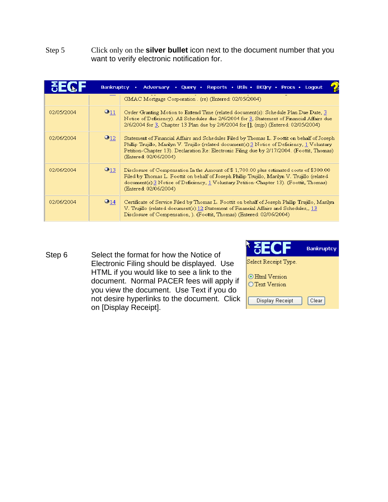## Step 5 Click only on the **silver bullet** icon next to the document number that you want to verify electronic notification for.

| Adversary • Query • Reports • Utils • BKQry • Procs • Logout<br><b>Bankruptcy</b><br>٠ |                         |                                                                                                                                                                                                                                                                                                                       |  |  |  |  |  |  |
|----------------------------------------------------------------------------------------|-------------------------|-----------------------------------------------------------------------------------------------------------------------------------------------------------------------------------------------------------------------------------------------------------------------------------------------------------------------|--|--|--|--|--|--|
|                                                                                        |                         | GMAC Mortgage Corporation . (re) (Entered: 02/05/2004).                                                                                                                                                                                                                                                               |  |  |  |  |  |  |
| 02/05/2004                                                                             | $\odot$ 11              | Order Granting Motion to Extend Time (related document(s): Schedule Plan Due Date, 3<br>Notice of Deficiency). All Schedules due 2/6/2004 for 3, Statement of Financial Affairs due<br>2/6/2004 for 3, Chapter 13 Plan due by 2/6/2004 for [], (mip) (Entered: 02/05/2004)                                            |  |  |  |  |  |  |
| 02/06/2004                                                                             | $\bullet$ <sub>12</sub> | Statement of Financial Affairs and Schedules Filed by Thomas L. Foottit on behalf of Joseph<br>Phillip Trujillo, Marilyn V. Trujillo (related document(s):3 Notice of Deficiency, 1 Voluntary<br>Petition-Chapter 13). Declaration Re: Electronic Filing due by 2/17/2004. (Foottit, Thomas)<br>(Entered: 02/06/2004) |  |  |  |  |  |  |
| 02/06/2004                                                                             | $\mathbf{O}_{13}$       | Disclosure of Compensation In the Amount of \$1,700.00 plus estimated costs of \$300.00<br>Filed by Thomas L. Foottit on behalf of Joseph Phillip Trujillo, Marilyn V. Trujillo (related<br>document(s):3 Notice of Deficiency, 1 Voluntary Petition-Chapter 13). (Foottit, Thomas)<br>(Entered: 02/06/2004)          |  |  |  |  |  |  |
| 02/06/2004                                                                             | $\odot$ 14              | Certificate of Service Filed by Thomas L. Foottit on behalf of Joseph Phillip Trujillo, Marilyn<br>V. Trujillo (related document(s):12 Statement of Financial Affairs and Schedules,, 13<br>Disclosure of Compensation, ). (Foottit, Thomas) (Entered: 02/06/2004)                                                    |  |  |  |  |  |  |

Step 6 Select the format for how the Notice of Electronic Filing should be displayed. Use HTML if you would like to see a link to the document. Normal PACER fees will apply if you view the document. Use Text if you do not desire hyperlinks to the document. Click on [Display Receipt].